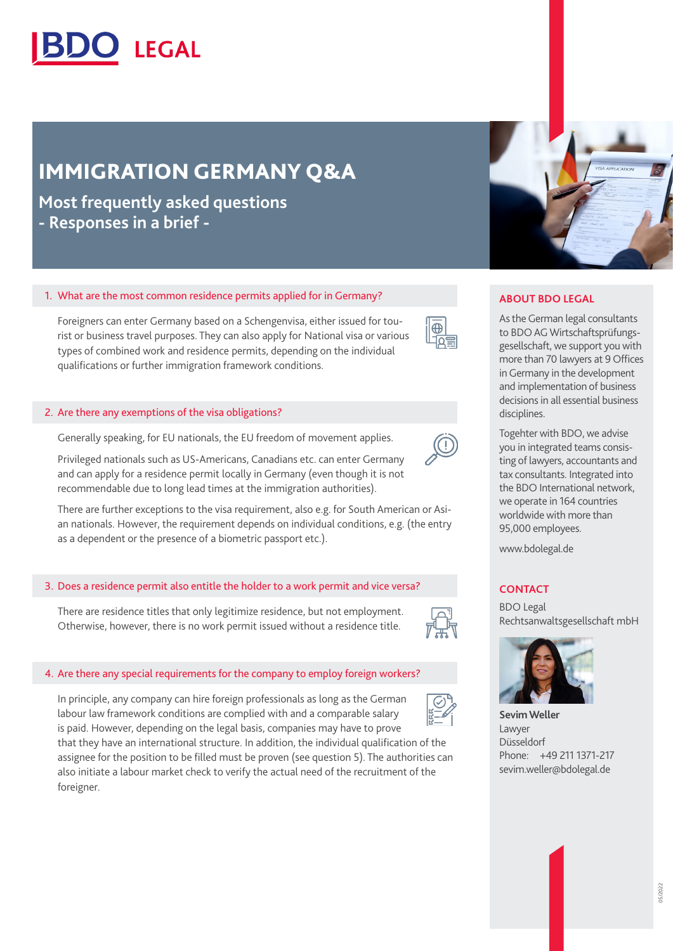

# IMMIGRATION GERMANY Q&A

**Most frequently asked questions - Responses in a brief -**

# 1. What are the most common residence permits applied for in Germany?

Foreigners can enter Germany based on a Schengenvisa, either issued for tourist or business travel purposes. They can also apply for National visa or various types of combined work and residence permits, depending on the individual qualifications or further immigration framework conditions.

# 2. Are there any exemptions of the visa obligations?

Generally speaking, for EU nationals, the EU freedom of movement applies.

Privileged nationals such as US-Americans, Canadians etc. can enter Germany and can apply for a residence permit locally in Germany (even though it is not recommendable due to long lead times at the immigration authorities).

There are further exceptions to the visa requirement, also e.g. for South American or Asian nationals. However, the requirement depends on individual conditions, e.g. (the entry as a dependent or the presence of a biometric passport etc.).

# 3. Does a residence permit also entitle the holder to a work permit and vice versa?

There are residence titles that only legitimize residence, but not employment. Otherwise, however, there is no work permit issued without a residence title.



# 4. Are there any special requirements for the company to employ foreign workers?

In principle, any company can hire foreign professionals as long as the German labour law framework conditions are complied with and a comparable salary is paid. However, depending on the legal basis, companies may have to prove

that they have an international structure. In addition, the individual qualification of the assignee for the position to be filled must be proven (see question 5). The authorities can also initiate a labour market check to verify the actual need of the recruitment of the foreigner.



#### **ABOUT BDO LEGAL**

As the German legal consultants to BDO AG Wirtschaftsprüfungsgesellschaft, we support you with more than 70 lawyers at 9 Offices in Germany in the development and implementation of business decisions in all essential business disciplines.

Togehter with BDO, we advise you in integrated teams consisting of lawyers, accountants and tax consultants. Integrated into the BDO International network, we operate in 164 countries worldwide with more than 95,000 employees.

[www.bdolegal.de](https://www.bdolegal.de/en-gb/home-en)

#### **CONTACT**

BDO Legal Rechtsanwaltsgesellschaft mbH



**Sevim Weller** Lawyer Düsseldorf Phone: +49 211 1371-217 sevim.weller@bdolegal.de